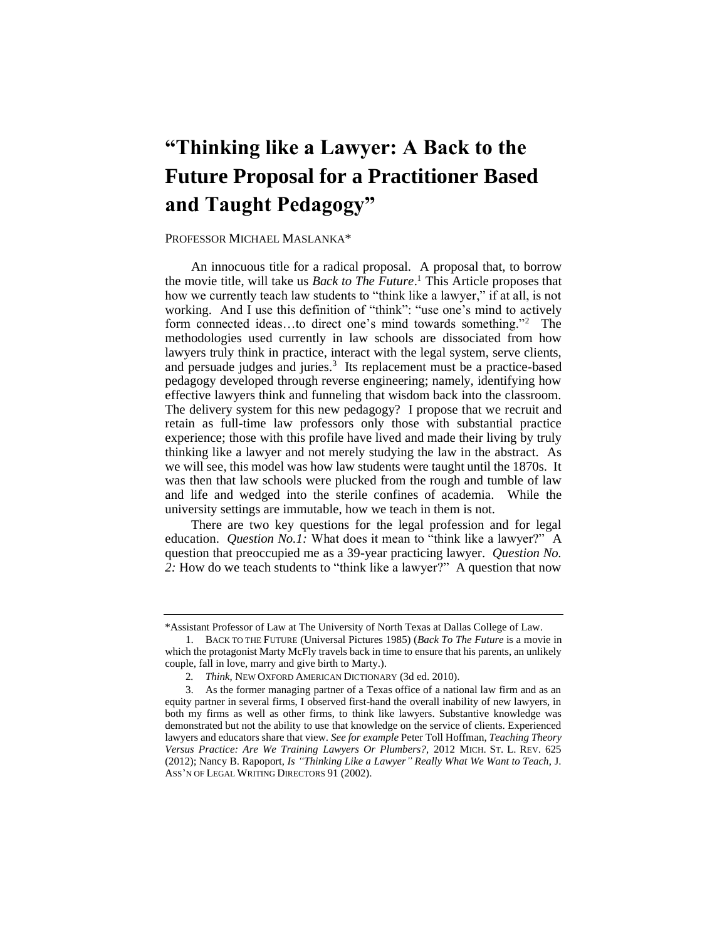# **"Thinking like a Lawyer: A Back to the Future Proposal for a Practitioner Based and Taught Pedagogy"**

## PROFESSOR MICHAEL MASLANKA\*

 An innocuous title for a radical proposal. A proposal that, to borrow the movie title, will take us *Back to The Future*. 1 This Article proposes that working. And I use this definition of "think": "use one's mind to actively methodologies used currently in law schools are dissociated from how lawyers truly think in practice, interact with the legal system, serve clients, and persuade judges and juries.<sup>3</sup> Its replacement must be a practice-based effective lawyers think and funneling that wisdom back into the classroom. The delivery system for this new pedagogy? I propose that we recruit and retain as full-time law professors only those with substantial practice experience; those with this profile have lived and made their living by truly thinking like a lawyer and not merely studying the law in the abstract. As we will see, this model was how law students were taught until the 1870s. It was then that law schools were plucked from the rough and tumble of law and life and wedged into the sterile confines of academia. While the how we currently teach law students to "think like a lawyer," if at all, is not form connected ideas...to direct one's mind towards something."<sup>2</sup> The pedagogy developed through reverse engineering; namely, identifying how university settings are immutable, how we teach in them is not.

 There are two key questions for the legal profession and for legal education. *Question No.1:* What does it mean to "think like a lawyer?" A question that preoccupied me as a 39-year practicing lawyer. *Question No. 2:* How do we teach students to "think like a lawyer?" A question that now

<sup>\*</sup>Assistant Professor of Law at The University of North Texas at Dallas College of Law.

<sup>1.</sup> BACK TO THE FUTURE (Universal Pictures 1985) (*Back To The Future* is a movie in which the protagonist Marty McFly travels back in time to ensure that his parents, an unlikely couple, fall in love, marry and give birth to Marty.).

<sup>2</sup>*. Think*, NEW OXFORD AMERICAN DICTIONARY (3d ed. 2010).

 3. As the former managing partner of a Texas office of a national law firm and as an  *Versus Practice: Are We Training Lawyers Or Plumbers?*, 2012 MICH. ST. L. REV. 625 equity partner in several firms, I observed first-hand the overall inability of new lawyers, in both my firms as well as other firms, to think like lawyers. Substantive knowledge was demonstrated but not the ability to use that knowledge on the service of clients. Experienced lawyers and educators share that view. *See for example* Peter Toll Hoffman, *Teaching Theory*  (2012); Nancy B. Rapoport, *Is "Thinking Like a Lawyer" Really What We Want to Teach*, J. ASS'N OF LEGAL WRITING DIRECTORS 91 (2002).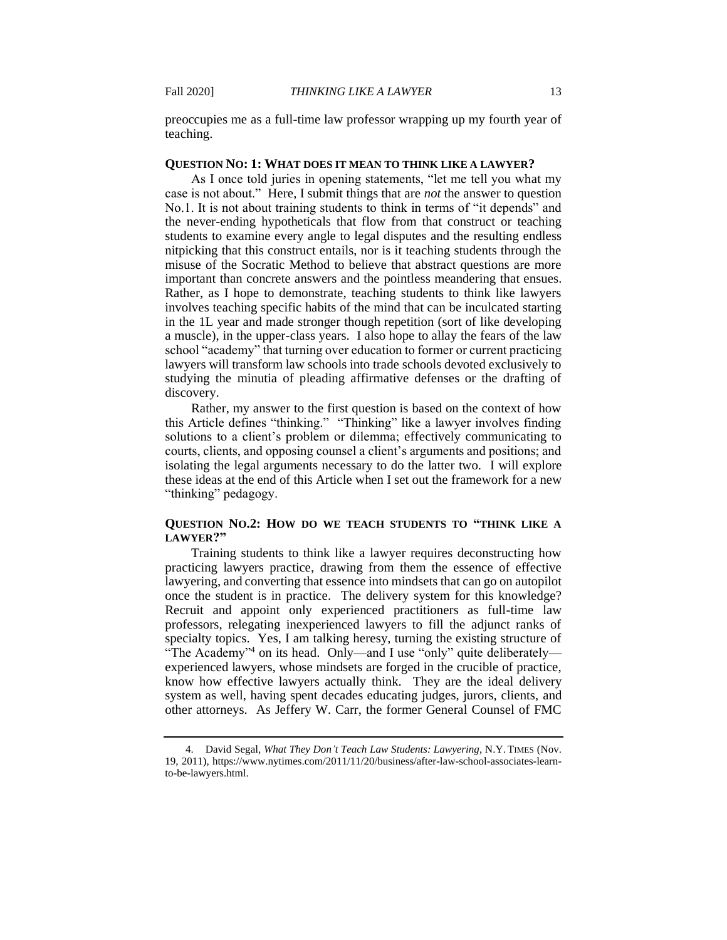preoccupies me as a full-time law professor wrapping up my fourth year of teaching.

## **QUESTION NO: 1: WHAT DOES IT MEAN TO THINK LIKE A LAWYER?**

 As I once told juries in opening statements, "let me tell you what my No.1. It is not about training students to think in terms of "it depends" and the never-ending hypotheticals that flow from that construct or teaching students to examine every angle to legal disputes and the resulting endless nitpicking that this construct entails, nor is it teaching students through the misuse of the Socratic Method to believe that abstract questions are more important than concrete answers and the pointless meandering that ensues. Rather, as I hope to demonstrate, teaching students to think like lawyers involves teaching specific habits of the mind that can be inculcated starting in the 1L year and made stronger though repetition (sort of like developing a muscle), in the upper-class years. I also hope to allay the fears of the law school "academy" that turning over education to former or current practicing lawyers will transform law schools into trade schools devoted exclusively to studying the minutia of pleading affirmative defenses or the drafting of case is not about." Here, I submit things that are *not* the answer to question discovery.

 Rather, my answer to the first question is based on the context of how this Article defines "thinking." "Thinking" like a lawyer involves finding solutions to a client's problem or dilemma; effectively communicating to courts, clients, and opposing counsel a client's arguments and positions; and isolating the legal arguments necessary to do the latter two. I will explore "thinking" pedagogy. these ideas at the end of this Article when I set out the framework for a new

# **QUESTION NO.2: HOW DO WE TEACH STUDENTS TO "THINK LIKE A LAWYER?"**

 Training students to think like a lawyer requires deconstructing how practicing lawyers practice, drawing from them the essence of effective lawyering, and converting that essence into mindsets that can go on autopilot once the student is in practice. The delivery system for this knowledge? Recruit and appoint only experienced practitioners as full-time law professors, relegating inexperienced lawyers to fill the adjunct ranks of specialty topics. Yes, I am talking heresy, turning the existing structure of "The Academy"4 on its head. Only—and I use "only" quite deliberately— experienced lawyers, whose mindsets are forged in the crucible of practice, know how effective lawyers actually think. They are the ideal delivery other attorneys. As Jeffery W. Carr, the former General Counsel of FMC system as well, having spent decades educating judges, jurors, clients, and

<sup>4.</sup> David Segal, *What They Don't Teach Law Students: Lawyering*, N.Y. TIMES (Nov. 19, 2011), <https://www.nytimes.com/2011/11/20/business/after-law-school-associates-learn>to-be-lawyers.html.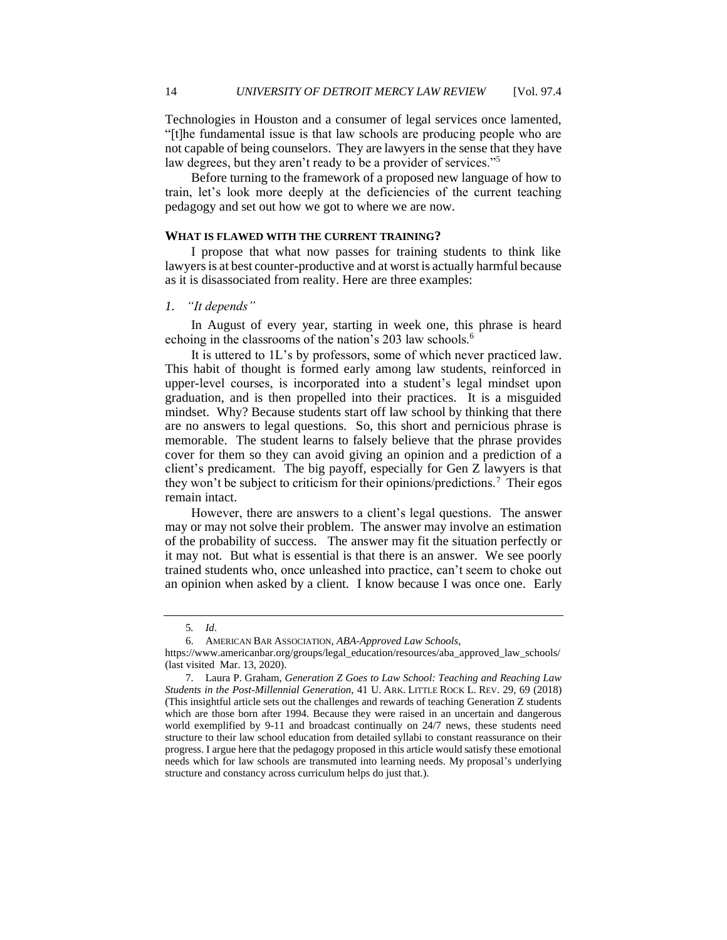Technologies in Houston and a consumer of legal services once lamented, "[t]he fundamental issue is that law schools are producing people who are not capable of being counselors. They are lawyers in the sense that they have law degrees, but they aren't ready to be a provider of services."5

 Before turning to the framework of a proposed new language of how to train, let's look more deeply at the deficiencies of the current teaching pedagogy and set out how we got to where we are now.

## **WHAT IS FLAWED WITH THE CURRENT TRAINING?**

 I propose that what now passes for training students to think like lawyers is at best counter-productive and at worst is actually harmful because as it is disassociated from reality. Here are three examples:

## *1. "It depends"*

 In August of every year, starting in week one, this phrase is heard echoing in the classrooms of the nation's 203 law schools.<sup>6</sup>

 It is uttered to 1L's by professors, some of which never practiced law. This habit of thought is formed early among law students, reinforced in upper-level courses, is incorporated into a student's legal mindset upon graduation, and is then propelled into their practices. It is a misguided mindset. Why? Because students start off law school by thinking that there are no answers to legal questions. So, this short and pernicious phrase is memorable. The student learns to falsely believe that the phrase provides cover for them so they can avoid giving an opinion and a prediction of a client's predicament. The big payoff, especially for Gen Z lawyers is that they won't be subject to criticism for their opinions/predictions.<sup>7</sup> Their egos remain intact.

 However, there are answers to a client's legal questions. The answer may or may not solve their problem. The answer may involve an estimation of the probability of success. The answer may fit the situation perfectly or it may not. But what is essential is that there is an answer. We see poorly trained students who, once unleashed into practice, can't seem to choke out an opinion when asked by a client. I know because I was once one. Early

<sup>5</sup>*. Id*.

<sup>6.</sup> AMERICAN BAR ASSOCIATION, *ABA-Approved Law Schools*,

[https://www.americanbar.org/groups/legal\\_education/resources/aba\\_approved\\_law\\_schools/](https://www.americanbar.org/groups/legal_education/resources/aba_approved_law_schools) (last visited Mar. 13, 2020).

 needs which for law schools are transmuted into learning needs. My proposal's underlying 7. Laura P. Graham, *Generation Z Goes to Law School: Teaching and Reaching Law Students in the Post-Millennial Generation*, 41 U. ARK. LITTLE ROCK L. REV. 29, 69 (2018) (This insightful article sets out the challenges and rewards of teaching Generation Z students which are those born after 1994. Because they were raised in an uncertain and dangerous world exemplified by 9-11 and broadcast continually on 24/7 news, these students need structure to their law school education from detailed syllabi to constant reassurance on their progress. I argue here that the pedagogy proposed in this article would satisfy these emotional structure and constancy across curriculum helps do just that.).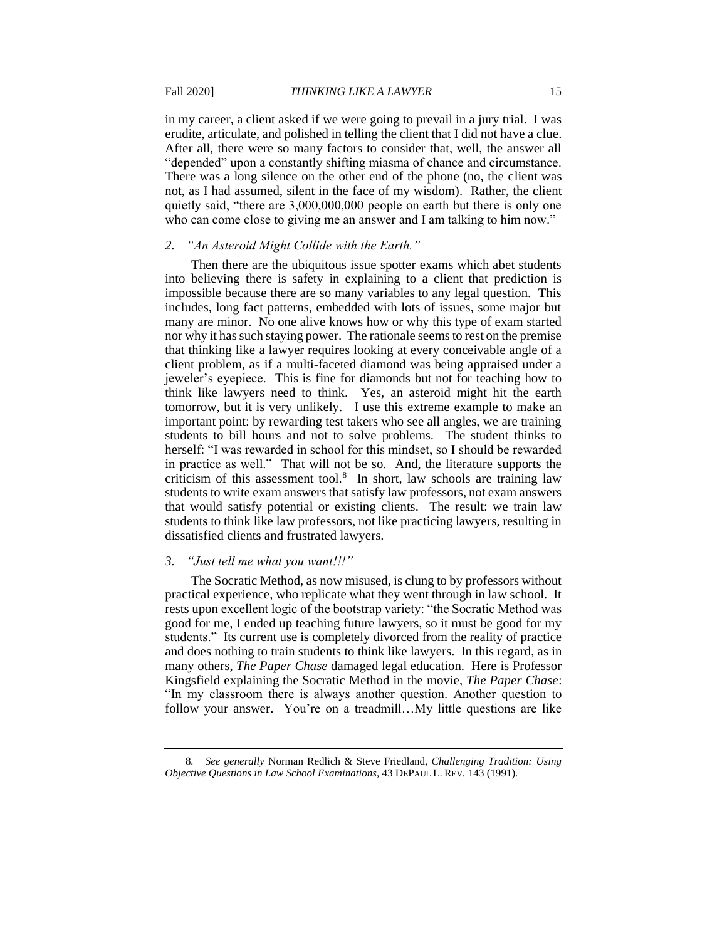erudite, articulate, and polished in telling the client that I did not have a clue. After all, there were so many factors to consider that, well, the answer all There was a long silence on the other end of the phone (no, the client was not, as I had assumed, silent in the face of my wisdom). Rather, the client quietly said, "there are 3,000,000,000 people on earth but there is only one in my career, a client asked if we were going to prevail in a jury trial. I was "depended" upon a constantly shifting miasma of chance and circumstance. who can come close to giving me an answer and I am talking to him now."

## *2. "An Asteroid Might Collide with the Earth."*

 Then there are the ubiquitous issue spotter exams which abet students into believing there is safety in explaining to a client that prediction is impossible because there are so many variables to any legal question. This includes, long fact patterns, embedded with lots of issues, some major but many are minor. No one alive knows how or why this type of exam started nor why it has such staying power. The rationale seems to rest on the premise that thinking like a lawyer requires looking at every conceivable angle of a client problem, as if a multi-faceted diamond was being appraised under a jeweler's eyepiece. This is fine for diamonds but not for teaching how to think like lawyers need to think. Yes, an asteroid might hit the earth tomorrow, but it is very unlikely. I use this extreme example to make an students to bill hours and not to solve problems. The student thinks to in practice as well." That will not be so. And, the literature supports the criticism of this assessment tool.<sup>8</sup> In short, law schools are training law students to write exam answers that satisfy law professors, not exam answers that would satisfy potential or existing clients. The result: we train law students to think like law professors, not like practicing lawyers, resulting in important point: by rewarding test takers who see all angles, we are training herself: "I was rewarded in school for this mindset, so I should be rewarded dissatisfied clients and frustrated lawyers.

# *3. "Just tell me what you want!!!"*

 The Socratic Method, as now misused, is clung to by professors without practical experience, who replicate what they went through in law school. It rests upon excellent logic of the bootstrap variety: "the Socratic Method was good for me, I ended up teaching future lawyers, so it must be good for my many others, *The Paper Chase* damaged legal education. Here is Professor Kingsfield explaining the Socratic Method in the movie, *The Paper Chase*: "In my classroom there is always another question. Another question to follow your answer. You're on a treadmill…My little questions are like students." Its current use is completely divorced from the reality of practice and does nothing to train students to think like lawyers. In this regard, as in

<sup>8</sup>*. See generally* Norman Redlich & Steve Friedland, *Challenging Tradition: Using Objective Questions in Law School Examinations*, 43 DEPAUL L. REV. 143 (1991).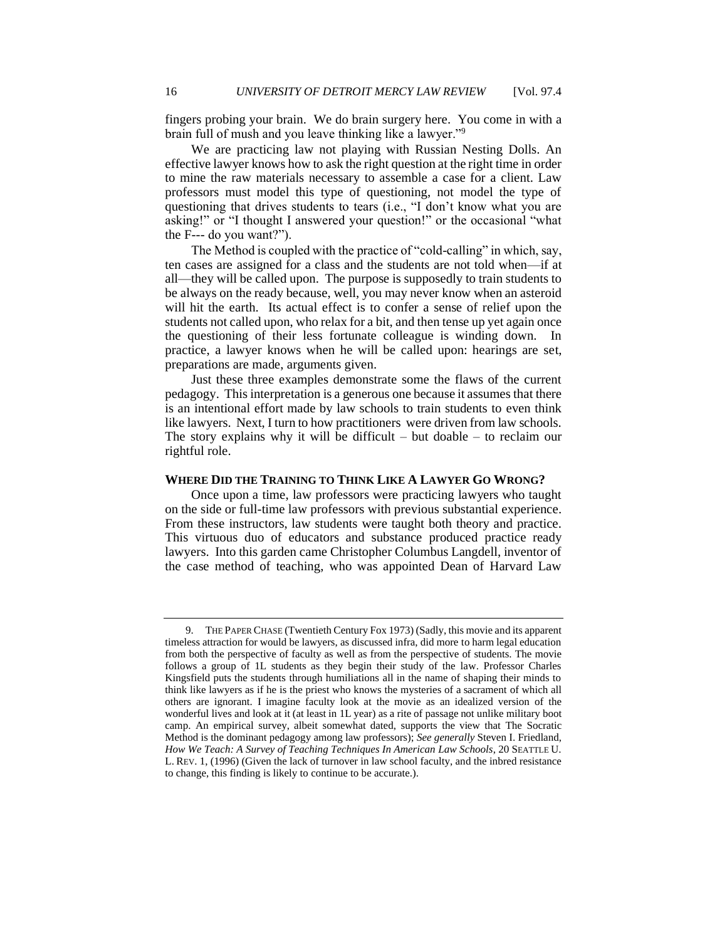fingers probing your brain. We do brain surgery here. You come in with a brain full of mush and you leave thinking like a lawyer."9

 We are practicing law not playing with Russian Nesting Dolls. An effective lawyer knows how to ask the right question at the right time in order to mine the raw materials necessary to assemble a case for a client. Law professors must model this type of questioning, not model the type of questioning that drives students to tears (i.e., "I don't know what you are asking!" or "I thought I answered your question!" or the occasional "what the F--- do you want?").

 The Method is coupled with the practice of "cold-calling" in which, say, ten cases are assigned for a class and the students are not told when—if at all—they will be called upon. The purpose is supposedly to train students to be always on the ready because, well, you may never know when an asteroid will hit the earth. Its actual effect is to confer a sense of relief upon the students not called upon, who relax for a bit, and then tense up yet again once the questioning of their less fortunate colleague is winding down. In practice, a lawyer knows when he will be called upon: hearings are set, preparations are made, arguments given.

 Just these three examples demonstrate some the flaws of the current pedagogy. This interpretation is a generous one because it assumes that there is an intentional effort made by law schools to train students to even think like lawyers. Next, I turn to how practitioners were driven from law schools. The story explains why it will be difficult – but doable – to reclaim our rightful role.

## **WHERE DID THE TRAINING TO THINK LIKE A LAWYER GO WRONG?**

 Once upon a time, law professors were practicing lawyers who taught From these instructors, law students were taught both theory and practice. This virtuous duo of educators and substance produced practice ready lawyers. Into this garden came Christopher Columbus Langdell, inventor of the case method of teaching, who was appointed Dean of Harvard Law on the side or full-time law professors with previous substantial experience.

 timeless attraction for would be lawyers, as discussed infra, did more to harm legal education Kingsfield puts the students through humiliations all in the name of shaping their minds to others are ignorant. I imagine faculty look at the movie as an idealized version of the 9. THE PAPER CHASE (Twentieth Century Fox 1973) (Sadly, this movie and its apparent from both the perspective of faculty as well as from the perspective of students. The movie follows a group of 1L students as they begin their study of the law. Professor Charles think like lawyers as if he is the priest who knows the mysteries of a sacrament of which all wonderful lives and look at it (at least in 1L year) as a rite of passage not unlike military boot camp. An empirical survey, albeit somewhat dated, supports the view that The Socratic Method is the dominant pedagogy among law professors); *See generally* Steven I. Friedland, *How We Teach: A Survey of Teaching Techniques In American Law Schools*, 20 SEATTLE U. L. REV. 1, (1996) (Given the lack of turnover in law school faculty, and the inbred resistance to change, this finding is likely to continue to be accurate.).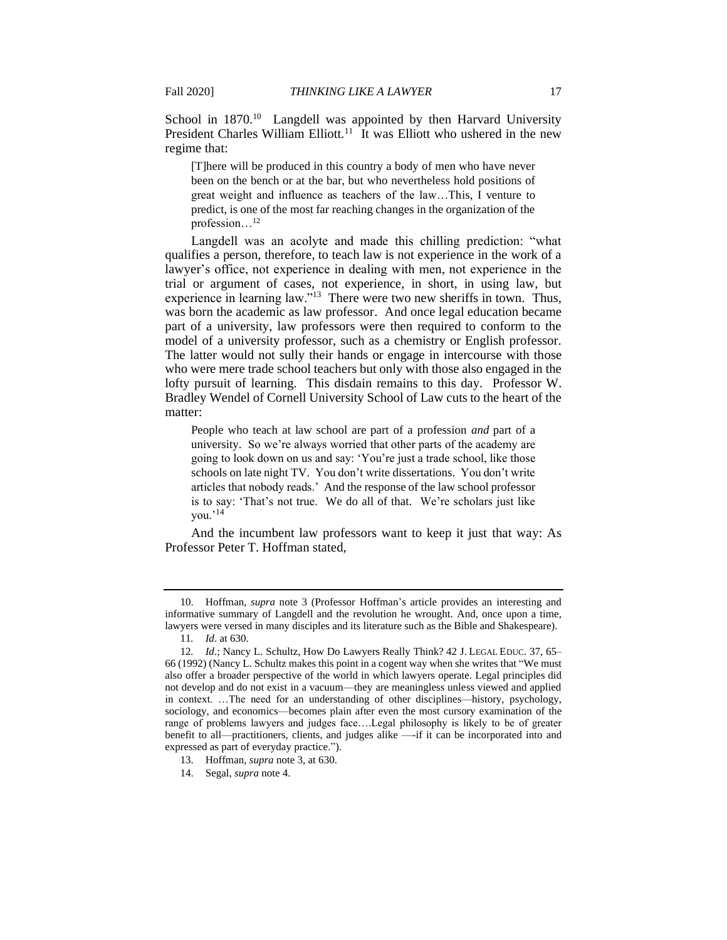President Charles William Elliott.<sup>11</sup> It was Elliott who ushered in the new School in 1870.<sup>10</sup> Langdell was appointed by then Harvard University regime that:

 [T]here will be produced in this country a body of men who have never been on the bench or at the bar, but who nevertheless hold positions of great weight and influence as teachers of the law…This, I venture to predict, is one of the most far reaching changes in the organization of the profession...<sup>12</sup>

 Langdell was an acolyte and made this chilling prediction: "what qualifies a person, therefore, to teach law is not experience in the work of a lawyer's office, not experience in dealing with men, not experience in the trial or argument of cases, not experience, in short, in using law, but experience in learning law."<sup>13</sup> There were two new sheriffs in town. Thus, was born the academic as law professor. And once legal education became part of a university, law professors were then required to conform to the model of a university professor, such as a chemistry or English professor. The latter would not sully their hands or engage in intercourse with those who were mere trade school teachers but only with those also engaged in the lofty pursuit of learning. This disdain remains to this day. Professor W. Bradley Wendel of Cornell University School of Law cuts to the heart of the matter:

 People who teach at law school are part of a profession *and* part of a university. So we're always worried that other parts of the academy are schools on late night TV. You don't write dissertations. You don't write articles that nobody reads.' And the response of the law school professor is to say: 'That's not true. We do all of that. We're scholars just like going to look down on us and say: 'You're just a trade school, like those you.'14

 And the incumbent law professors want to keep it just that way: As Professor Peter T. Hoffman stated,

<sup>10.</sup> Hoffman, *supra* note 3 (Professor Hoffman's article provides an interesting and informative summary of Langdell and the revolution he wrought. And, once upon a time, lawyers were versed in many disciples and its literature such as the Bible and Shakespeare).

<sup>11</sup>*. Id*. at 630.

 also offer a broader perspective of the world in which lawyers operate. Legal principles did in context. …The need for an understanding of other disciplines—history, psychology, range of problems lawyers and judges face….Legal philosophy is likely to be of greater 12*. Id*.; Nancy L. Schultz, How Do Lawyers Really Think? 42 J. LEGAL EDUC. 37, 65– 66 (1992) (Nancy L. Schultz makes this point in a cogent way when she writes that "We must not develop and do not exist in a vacuum—they are meaningless unless viewed and applied sociology, and economics—becomes plain after even the most cursory examination of the benefit to all—practitioners, clients, and judges alike —-if it can be incorporated into and expressed as part of everyday practice.").

<sup>13.</sup> Hoffman, *supra* note 3, at 630.

<sup>14.</sup> Segal, *supra* note 4.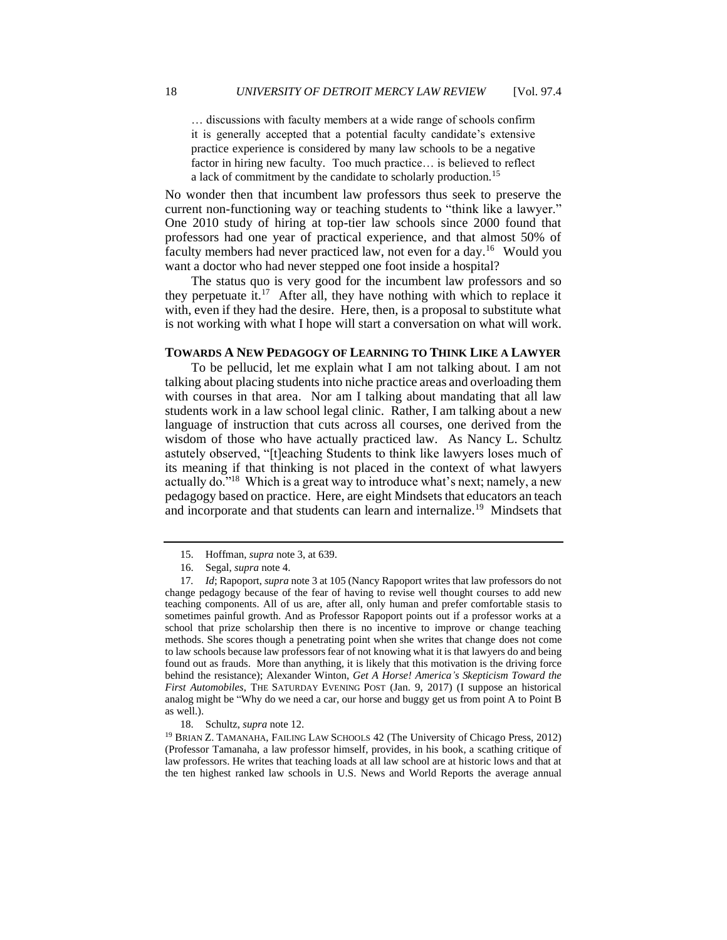… discussions with faculty members at a wide range of schools confirm it is generally accepted that a potential faculty candidate's extensive practice experience is considered by many law schools to be a negative factor in hiring new faculty. Too much practice… is believed to reflect a lack of commitment by the candidate to scholarly [production.](https://production.15)<sup>15</sup>

 No wonder then that incumbent law professors thus seek to preserve the current non-functioning way or teaching students to "think like a lawyer." One 2010 study of hiring at top-tier law schools since 2000 found that professors had one year of practical experience, and that almost 50% of faculty members had never practiced law, not even for a day.<sup>16</sup> Would you want a doctor who had never stepped one foot inside a hospital?

 The status quo is very good for the incumbent law professors and so they perpetuate it.<sup>17</sup> After all, they have nothing with which to replace it with, even if they had the desire. Here, then, is a proposal to substitute what is not working with what I hope will start a conversation on what will work.

## **TOWARDS A NEW PEDAGOGY OF LEARNING TO THINK LIKE A LAWYER**

 To be pellucid, let me explain what I am not talking about. I am not talking about placing students into niche practice areas and overloading them with courses in that area. Nor am I talking about mandating that all law language of instruction that cuts across all courses, one derived from the wisdom of those who have actually practiced law. As Nancy L. Schultz its meaning if that thinking is not placed in the context of what lawyers actually do."<sup>18</sup> Which is a great way to introduce what's next; namely, a new pedagogy based on practice. Here, are eight Mindsets that educators an teach and incorporate and that students can learn and internalize.<sup>19</sup> Mindsets that students work in a law school legal clinic. Rather, I am talking about a new astutely observed, "[t]eaching Students to think like lawyers loses much of

<sup>15.</sup> Hoffman, *supra* note 3, at 639.

<sup>16.</sup> Segal, *supra* note 4.

 change pedagogy because of the fear of having to revise well thought courses to add new methods. She scores though a penetrating point when she writes that change does not come to law schools because law professors fear of not knowing what it is that lawyers do and being 17*. Id*; Rapoport, *supra* note 3 at 105 (Nancy Rapoport writes that law professors do not teaching components. All of us are, after all, only human and prefer comfortable stasis to sometimes painful growth. And as Professor Rapoport points out if a professor works at a school that prize scholarship then there is no incentive to improve or change teaching found out as frauds. More than anything, it is likely that this motivation is the driving force behind the resistance); Alexander Winton, *Get A Horse! America's Skepticism Toward the First Automobiles*, THE SATURDAY EVENING POST (Jan. 9, 2017) (I suppose an historical analog might be "Why do we need a car, our horse and buggy get us from point A to Point B as well.).

 (Professor Tamanaha, a law professor himself, provides, in his book, a scathing critique of the ten highest ranked law schools in U.S. News and World Reports the average annual 18. Schultz, *supra* note 12.<br><sup>19</sup> BRIAN Z. TAMANAHA, FAILING LAW SCHOOLS 42 (The University of Chicago Press, 2012) law professors. He writes that teaching loads at all law school are at historic lows and that at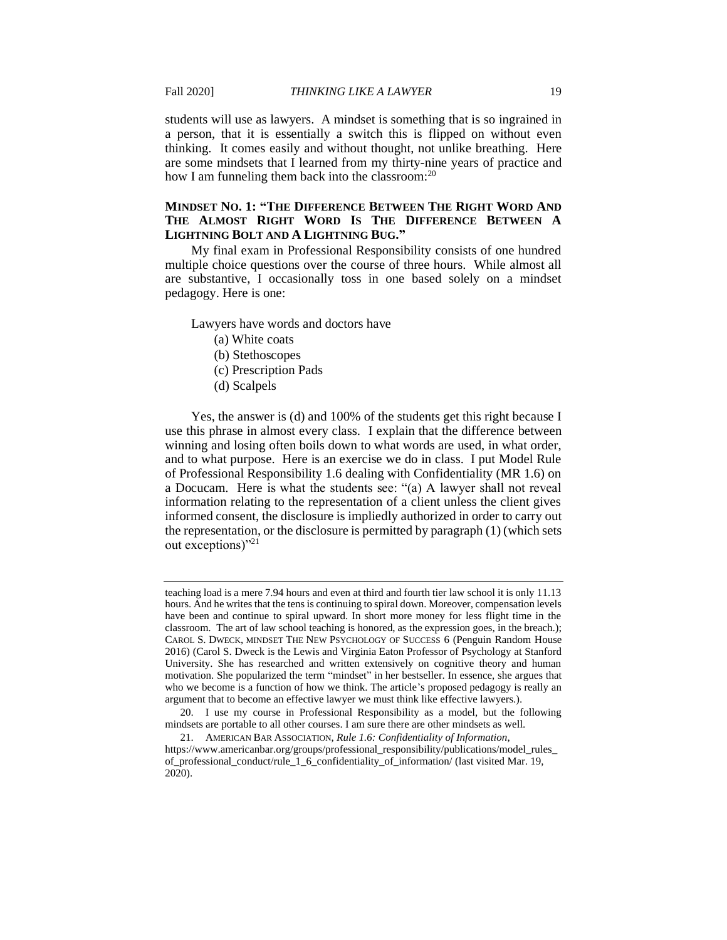students will use as lawyers. A mindset is something that is so ingrained in a person, that it is essentially a switch this is flipped on without even thinking. It comes easily and without thought, not unlike breathing. Here are some mindsets that I learned from my thirty-nine years of practice and how I am funneling them back into the classroom:<sup>20</sup>

# **MINDSET NO. 1: "THE DIFFERENCE BETWEEN THE RIGHT WORD AND THE ALMOST RIGHT WORD IS THE DIFFERENCE BETWEEN A LIGHTNING BOLT AND A LIGHTNING BUG."**

 My final exam in Professional Responsibility consists of one hundred multiple choice questions over the course of three hours. While almost all are substantive, I occasionally toss in one based solely on a mindset pedagogy. Here is one:

Lawyers have words and doctors have

- (a) White coats
- (b) Stethoscopes
- (c) Prescription Pads
- (d) Scalpels

 use this phrase in almost every class. I explain that the difference between winning and losing often boils down to what words are used, in what order, and to what purpose. Here is an exercise we do in class. I put Model Rule a Docucam. Here is what the students see: "(a) A lawyer shall not reveal information relating to the representation of a client unless the client gives informed consent, the disclosure is impliedly authorized in order to carry out the representation, or the disclosure is permitted by paragraph (1) (which sets Yes, the answer is (d) and 100% of the students get this right because I of Professional Responsibility 1.6 dealing with Confidentiality (MR 1.6) on out exceptions)"<sup>21</sup>

 teaching load is a mere 7.94 hours and even at third and fourth tier law school it is only 11.13 have been and continue to spiral upward. In short more money for less flight time in the CAROL S. DWECK, MINDSET THE NEW PSYCHOLOGY OF SUCCESS 6 (Penguin Random House hours. And he writes that the tens is continuing to spiral down. Moreover, compensation levels classroom. The art of law school teaching is honored, as the expression goes, in the breach.); 2016) (Carol S. Dweck is the Lewis and Virginia Eaton Professor of Psychology at Stanford University. She has researched and written extensively on cognitive theory and human motivation. She popularized the term "mindset" in her bestseller. In essence, she argues that who we become is a function of how we think. The article's proposed pedagogy is really an argument that to become an effective lawyer we must think like effective lawyers.).

 20. I use my course in Professional Responsibility as a model, but the following mindsets are portable to all other courses. I am sure there are other mindsets as well.

<sup>21.</sup> AMERICAN BAR ASSOCIATION, *Rule 1.6: Confidentiality of Information*, [https://www.americanbar.org/groups/professional\\_responsibility/publications/model\\_rules](https://www.americanbar.org/groups/professional_responsibility/publications/model_rules)\_ of professional\_conduct/rule\_1\_6\_confidentiality\_of\_information/ (last visited Mar. 19, 2020).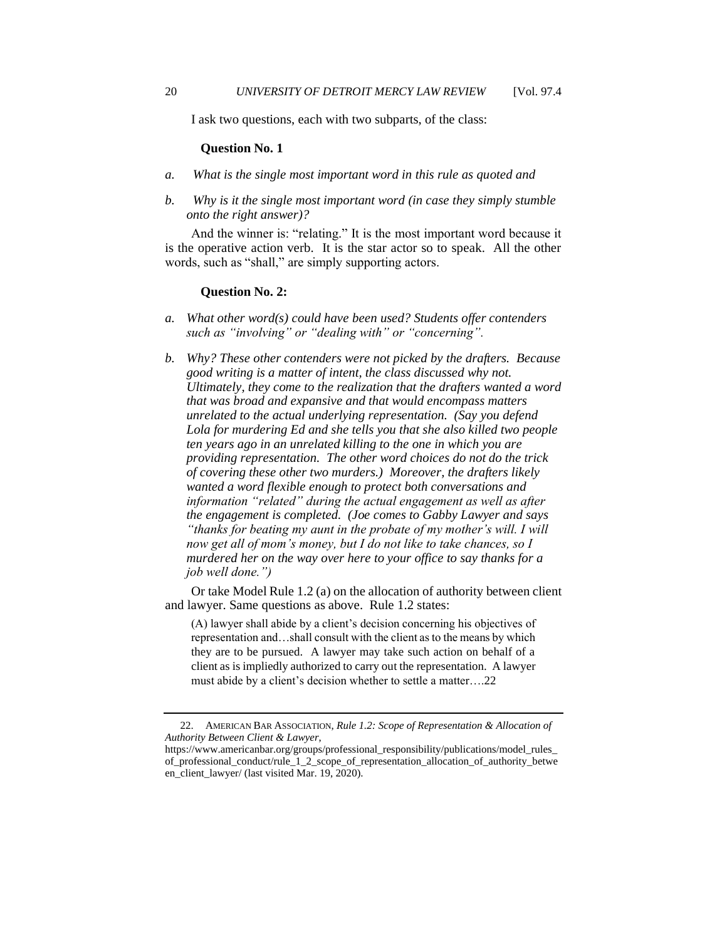I ask two questions, each with two subparts, of the class:

#### **Question No. 1**

- *a. What is the single most important word in this rule as quoted and*
- *b. Why is it the single most important word (in case they simply stumble onto the right answer)?*

 And the winner is: "relating." It is the most important word because it is the operative action verb. It is the star actor so to speak. All the other words, such as "shall," are simply supporting actors.

## **Question No. 2:**

- *a. What other word(s) could have been used? Students offer contenders such as "involving" or "dealing with" or "concerning".*
- *providing representation. The other word choices do not do the trick job well done.") b. Why? These other contenders were not picked by the drafters. Because good writing is a matter of intent, the class discussed why not. Ultimately, they come to the realization that the drafters wanted a word that was broad and expansive and that would encompass matters unrelated to the actual underlying representation. (Say you defend Lola for murdering Ed and she tells you that she also killed two people ten years ago in an unrelated killing to the one in which you are of covering these other two murders.) Moreover, the drafters likely wanted a word flexible enough to protect both conversations and information "related" during the actual engagement as well as after the engagement is completed. (Joe comes to Gabby Lawyer and says "thanks for beating my aunt in the probate of my mother's will. I will now get all of mom's money, but I do not like to take chances, so I murdered her on the way over here to your office to say thanks for a*

 Or take Model Rule 1.2 (a) on the allocation of authority between client and lawyer. Same questions as above. Rule 1.2 states:

representation and...shall consult with the client as to the means by which they are to be pursued. A lawyer may take such action on behalf of a client as is impliedly authorized to carry out the representation. A lawyer (A) lawyer shall abide by a client's decision concerning his objectives of must abide by a client's decision whether to settle a [matter….22](https://matter�.22) 

<sup>22.</sup> AMERICAN BAR ASSOCIATION, *Rule 1.2: Scope of Representation & Allocation of Authority Between Client & Lawyer*,

[https://www.americanbar.org/groups/professional\\_responsibility/publications/model\\_rules](https://www.americanbar.org/groups/professional_responsibility/publications/model_rules)\_ of\_professional\_conduct/rule\_1\_2\_scope\_of\_representation\_allocation\_of\_authority\_betwe en\_client\_lawyer/ (last visited Mar. 19, 2020).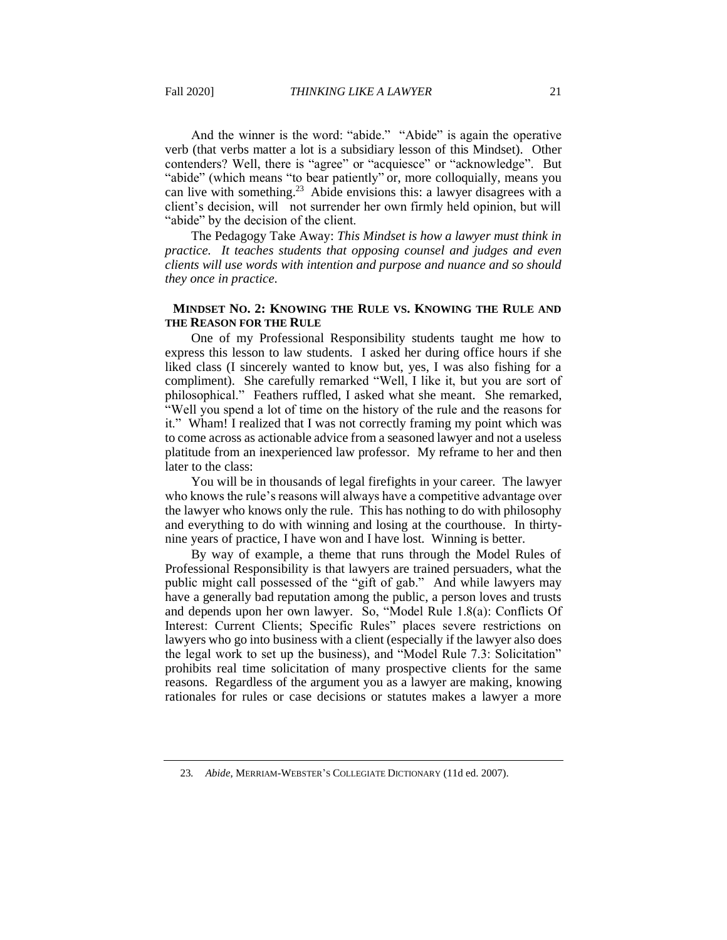And the winner is the word: "abide." "Abide" is again the operative verb (that verbs matter a lot is a subsidiary lesson of this Mindset). Other contenders? Well, there is "agree" or "acquiesce" or "acknowledge". But can live with something.<sup>23</sup> Abide envisions this: a lawyer disagrees with a client's decision, will not surrender her own firmly held opinion, but will "abide" (which means "to bear patiently" or, more colloquially, means you "abide" by the decision of the client.

The Pedagogy Take Away: *This Mindset is how a lawyer must think in practice. It teaches students that opposing counsel and judges and even clients will use words with intention and purpose and nuance and so should they once in practice.* 

# **MINDSET NO. 2: KNOWING THE RULE VS. KNOWING THE RULE AND THE REASON FOR THE RULE**

 One of my Professional Responsibility students taught me how to express this lesson to law students. I asked her during office hours if she liked class (I sincerely wanted to know but, yes, I was also fishing for a compliment). She carefully remarked "Well, I like it, but you are sort of philosophical." Feathers ruffled, I asked what she meant. She remarked, "Well you spend a lot of time on the history of the rule and the reasons for it." Wham! I realized that I was not correctly framing my point which was to come across as actionable advice from a seasoned lawyer and not a useless platitude from an inexperienced law professor. My reframe to her and then later to the class:

 who knows the rule's reasons will always have a competitive advantage over the lawyer who knows only the rule. This has nothing to do with philosophy and everything to do with winning and losing at the courthouse. In thirty-You will be in thousands of legal firefights in your career. The lawyer nine years of practice, I have won and I have lost. Winning is better.

 By way of example, a theme that runs through the Model Rules of Professional Responsibility is that lawyers are trained persuaders, what the public might call possessed of the "gift of gab." And while lawyers may have a generally bad reputation among the public, a person loves and trusts and depends upon her own lawyer. So, "Model Rule 1.8(a): Conflicts Of Interest: Current Clients; Specific Rules" places severe restrictions on lawyers who go into business with a client (especially if the lawyer also does the legal work to set up the business), and "Model Rule 7.3: Solicitation" prohibits real time solicitation of many prospective clients for the same reasons. Regardless of the argument you as a lawyer are making, knowing rationales for rules or case decisions or statutes makes a lawyer a more

<sup>23</sup>*. Abide*, MERRIAM-WEBSTER'S COLLEGIATE DICTIONARY (11d ed. 2007).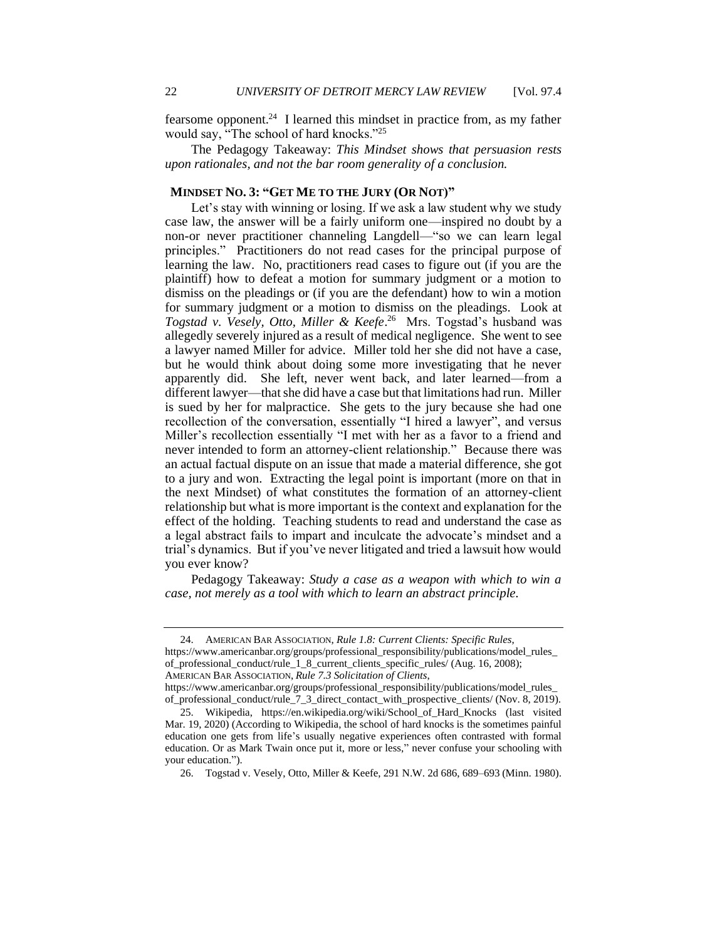fearsome opponent.<sup>24</sup> I learned this mindset in practice from, as my father would say, "The school of hard knocks."<sup>25</sup>

 The Pedagogy Takeaway: *This Mindset shows that persuasion rests upon rationales, and not the bar room generality of a conclusion.* 

# **MINDSET NO. 3: "GET ME TO THE JURY (OR NOT)"**

 Let's stay with winning or losing. If we ask a law student why we study case law, the answer will be a fairly uniform one—inspired no doubt by a non-or never practitioner channeling Langdell—"so we can learn legal principles." Practitioners do not read cases for the principal purpose of learning the law. No, practitioners read cases to figure out (if you are the plaintiff) how to defeat a motion for summary judgment or a motion to dismiss on the pleadings or (if you are the defendant) how to win a motion for summary judgment or a motion to dismiss on the pleadings. Look at allegedly severely injured as a result of medical negligence. She went to see a lawyer named Miller for advice. Miller told her she did not have a case, but he would think about doing some more investigating that he never apparently did. She left, never went back, and later learned—from a different lawyer—that she did have a case but that limitations had run. Miller is sued by her for malpractice. She gets to the jury because she had one recollection of the conversation, essentially "I hired a lawyer", and versus Miller's recollection essentially "I met with her as a favor to a friend and never intended to form an attorney-client relationship." Because there was to a jury and won. Extracting the legal point is important (more on that in the next Mindset) of what constitutes the formation of an attorney-client relationship but what is more important is the context and explanation for the effect of the holding. Teaching students to read and understand the case as a legal abstract fails to impart and inculcate the advocate's mindset and a trial's dynamics. But if you've never litigated and tried a lawsuit how would *Togstad v. Vesely, Otto, Miller & [Keefe](https://Keefe.26)*. 26 Mrs. Togstad's husband was an actual factual dispute on an issue that made a material difference, she got you ever know?

 Pedagogy Takeaway: *Study a case as a weapon with which to win a case, not merely as a tool with which to learn an abstract principle.* 

<sup>24.</sup> AMERICAN BAR ASSOCIATION, *Rule 1.8: Current Clients: Specific Rules*,

[https://www.americanbar.org/groups/professional\\_responsibility/publications/model\\_rules](https://www.americanbar.org/groups/professional_responsibility/publications/model_rules)\_ of\_professional\_conduct/rule\_1\_8\_current\_clients\_specific\_rules/ (Aug. 16, 2008); AMERICAN BAR ASSOCIATION, *Rule 7.3 Solicitation of Clients*,

[https://www.americanbar.org/groups/professional\\_responsibility/publications/model\\_rules](https://www.americanbar.org/groups/professional_responsibility/publications/model_rules)\_

of\_professional\_conduct/rule\_7\_3\_direct\_contact\_with\_prospective\_clients/ (Nov. 8, 2019). 25. Wikipedia, [https://en.wikipedia.org/wiki/School\\_of\\_Hard\\_Knocks](https://en.wikipedia.org/wiki/School_of_Hard_Knocks) (last visited Mar. 19, 2020) (According to Wikipedia, the school of hard knocks is the sometimes painful education one gets from life's usually negative experiences often contrasted with formal education. Or as Mark Twain once put it, more or less," never confuse your schooling with your education.").

<sup>26.</sup> Togstad v. Vesely, Otto, Miller & Keefe, 291 N.W. 2d 686, 689–693 (Minn. 1980).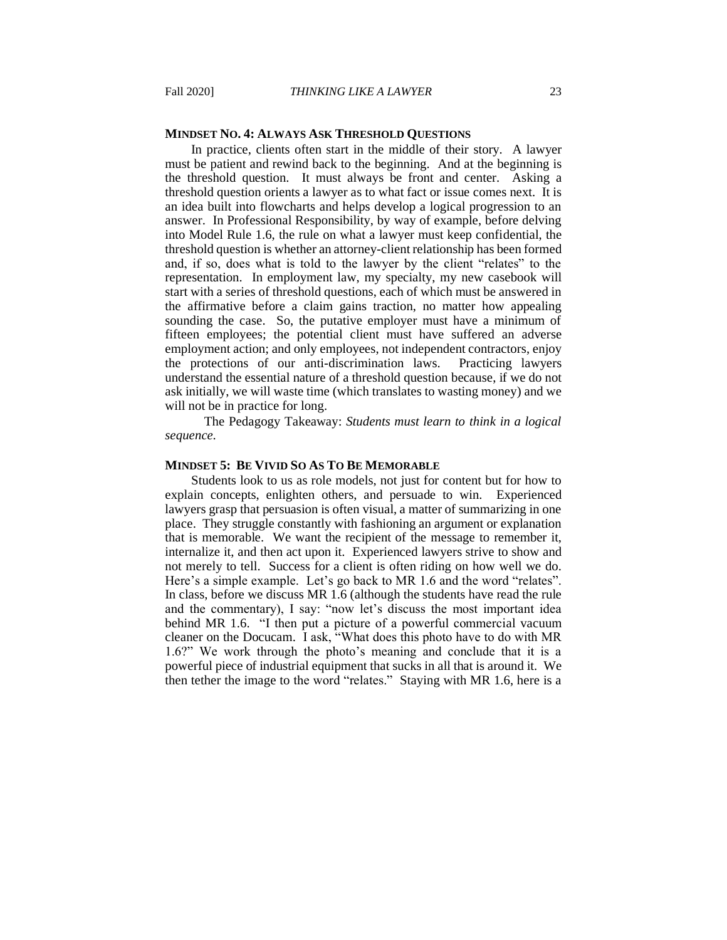## **MINDSET NO. 4: ALWAYS ASK THRESHOLD QUESTIONS**

 In practice, clients often start in the middle of their story. A lawyer must be patient and rewind back to the beginning. And at the beginning is the threshold question. It must always be front and center. Asking a an idea built into flowcharts and helps develop a logical progression to an answer. In Professional Responsibility, by way of example, before delving into Model Rule 1.6, the rule on what a lawyer must keep confidential, the and, if so, does what is told to the lawyer by the client "relates" to the start with a series of threshold questions, each of which must be answered in the affirmative before a claim gains traction, no matter how appealing sounding the case. So, the putative employer must have a minimum of fifteen employees; the potential client must have suffered an adverse employment action; and only employees, not independent contractors, enjoy the protections of our anti-discrimination laws. Practicing lawyers ask initially, we will waste time (which translates to wasting money) and we will not be in practice for long. threshold question orients a lawyer as to what fact or issue comes next. It is threshold question is whether an attorney-client relationship has been formed representation. In employment law, my specialty, my new casebook will understand the essential nature of a threshold question because, if we do not

The Pedagogy Takeaway: *Students must learn to think in a logical sequence.* 

## **MINDSET 5: BE VIVID SO AS TO BE MEMORABLE**

 Students look to us as role models, not just for content but for how to lawyers grasp that persuasion is often visual, a matter of summarizing in one that is memorable. We want the recipient of the message to remember it, internalize it, and then act upon it. Experienced lawyers strive to show and not merely to tell. Success for a client is often riding on how well we do. Here's a simple example. Let's go back to MR 1.6 and the word "relates". and the commentary), I say: "now let's discuss the most important idea behind MR 1.6. "I then put a picture of a powerful commercial vacuum cleaner on the Docucam. I ask, "What does this photo have to do with MR 1.6?" We work through the photo's meaning and conclude that it is a powerful piece of industrial equipment that sucks in all that is around it. We then tether the image to the word "relates." Staying with MR 1.6, here is a explain concepts, enlighten others, and persuade to win. Experienced place. They struggle constantly with fashioning an argument or explanation In class, before we discuss MR 1.6 (although the students have read the rule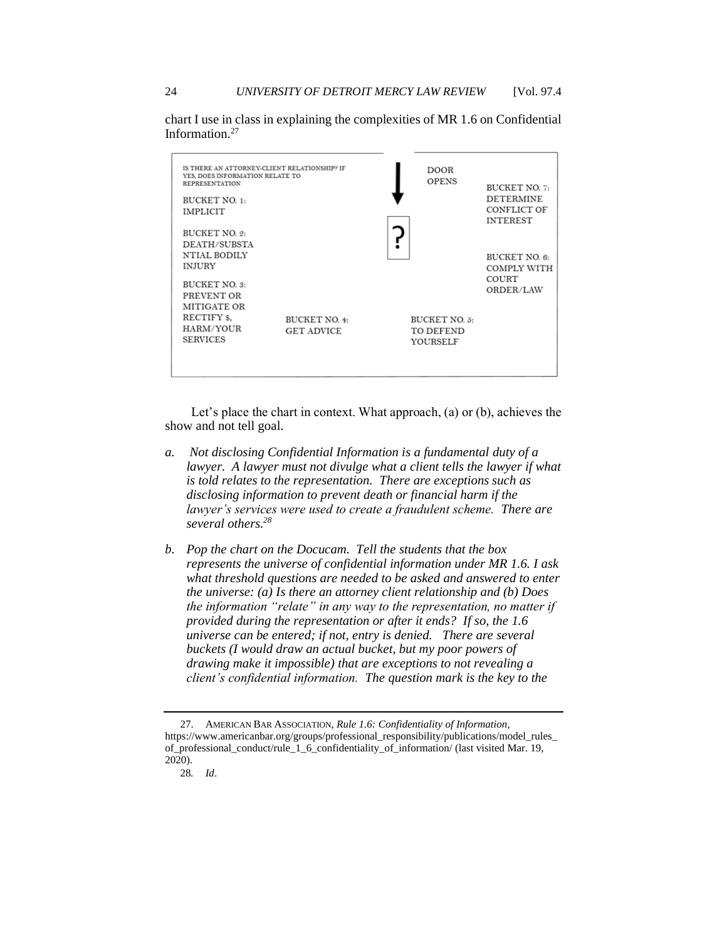chart I use in class in explaining the complexities of MR 1.6 on Confidential [Information.27](https://Information.27)



Let's place the chart in context. What approach, (a) or (b), achieves the show and not tell goal.

- *a. Not disclosing Confidential Information is a fundamental duty of a lawyer. A lawyer must not divulge what a client tells the lawyer if what is told relates to the representation. There are exceptions such as disclosing information to prevent death or financial harm if the lawyer's services were used to create a fraudulent scheme. There are several [others.28](https://others.28)*
- *universe can be entered; if not, entry is denied. There are several b. Pop the chart on the Docucam. Tell the students that the box represents the universe of confidential information under MR 1.6. I ask what threshold questions are needed to be asked and answered to enter the universe: (a) Is there an attorney client relationship and (b) Does the information "relate" in any way to the representation, no matter if provided during the representation or after it ends? If so, the 1.6 buckets (I would draw an actual bucket, but my poor powers of drawing make it impossible) that are exceptions to not revealing a client's confidential information. The question mark is the key to the*

<sup>27.</sup> AMERICAN BAR ASSOCIATION, *Rule 1.6: Confidentiality of Information*, [https://www.americanbar.org/groups/professional\\_responsibility/publications/model\\_rules](https://www.americanbar.org/groups/professional_responsibility/publications/model_rules)\_ of\_professional\_conduct/rule\_1\_6\_confidentiality\_of\_information/ (last visited Mar. 19, 2020).

<sup>28</sup>*. Id*.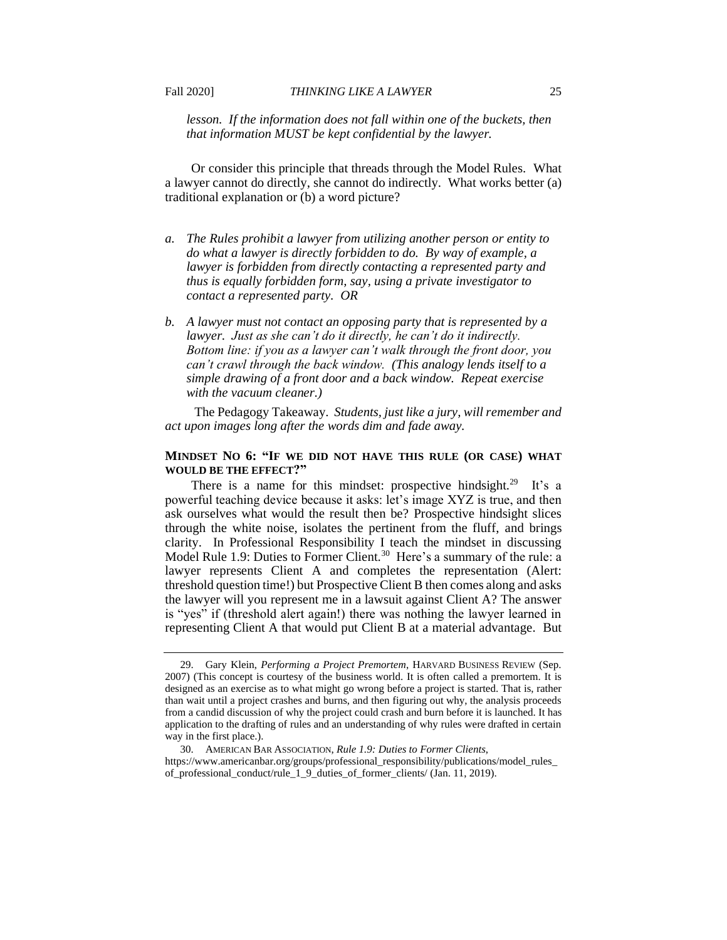*lesson. If the information does not fall within one of the buckets, then that information MUST be kept confidential by the lawyer.* 

 Or consider this principle that threads through the Model Rules. What traditional explanation or (b) a word picture? a lawyer cannot do directly, she cannot do indirectly. What works better (a)

- *a. The Rules prohibit a lawyer from utilizing another person or entity to do what a lawyer is directly forbidden to do. By way of example, a lawyer is forbidden from directly contacting a represented party and thus is equally forbidden form, say, using a private investigator to contact a represented party. OR*
- *b. A lawyer must not contact an opposing party that is represented by a lawyer. Just as she can't do it directly, he can't do it indirectly. Bottom line: if you as a lawyer can't walk through the front door, you can't crawl through the back window. (This analogy lends itself to a simple drawing of a front door and a back window. Repeat exercise with the vacuum cleaner.)*

 The Pedagogy Takeaway. *Students, just like a jury, will remember and act upon images long after the words dim and fade away.* 

## **MINDSET NO 6: "IF WE DID NOT HAVE THIS RULE (OR CASE) WHAT WOULD BE THE EFFECT?"**

There is a name for this mindset: prospective hindsight.<sup>29</sup> It's a powerful teaching device because it asks: let's image XYZ is true, and then ask ourselves what would the result then be? Prospective hindsight slices through the white noise, isolates the pertinent from the fluff, and brings clarity. In Professional Responsibility I teach the mindset in discussing Model Rule 1.9: Duties to Former Client.<sup>30</sup> Here's a summary of the rule: a lawyer represents Client A and completes the representation (Alert: threshold question time!) but Prospective Client B then comes along and asks the lawyer will you represent me in a lawsuit against Client A? The answer is "yes" if (threshold alert again!) there was nothing the lawyer learned in representing Client A that would put Client B at a material advantage. But

 than wait until a project crashes and burns, and then figuring out why, the analysis proceeds 29. Gary Klein, *Performing a Project Premortem*, HARVARD BUSINESS REVIEW (Sep. 2007) (This concept is courtesy of the business world. It is often called a premortem. It is designed as an exercise as to what might go wrong before a project is started. That is, rather from a candid discussion of why the project could crash and burn before it is launched. It has application to the drafting of rules and an understanding of why rules were drafted in certain way in the first place.).

<sup>30.</sup> AMERICAN BAR ASSOCIATION, *Rule 1.9: Duties to Former Clients*, [https://www.americanbar.org/groups/professional\\_responsibility/publications/model\\_rules](https://www.americanbar.org/groups/professional_responsibility/publications/model_rules)\_ of\_professional\_conduct/rule\_1\_9\_duties\_of\_former\_clients/ (Jan. 11, 2019).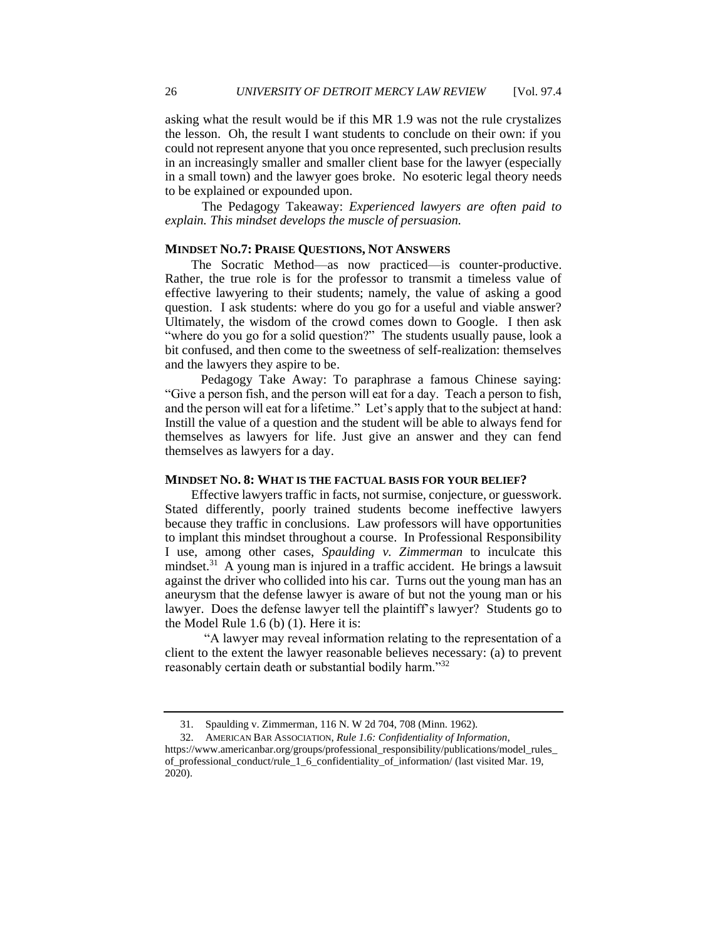asking what the result would be if this MR 1.9 was not the rule crystalizes the lesson. Oh, the result I want students to conclude on their own: if you could not represent anyone that you once represented, such preclusion results in an increasingly smaller and smaller client base for the lawyer (especially in a small town) and the lawyer goes broke. No esoteric legal theory needs to be explained or expounded upon.

The Pedagogy Takeaway: *Experienced lawyers are often paid to explain. This mindset develops the muscle of persuasion.* 

## **MINDSET NO.7: PRAISE QUESTIONS, NOT ANSWERS**

 The Socratic Method—as now practiced—is counter-productive. Rather, the true role is for the professor to transmit a timeless value of effective lawyering to their students; namely, the value of asking a good question. I ask students: where do you go for a useful and viable answer? Ultimately, the wisdom of the crowd comes down to Google. I then ask "where do you go for a solid question?" The students usually pause, look a bit confused, and then come to the sweetness of self-realization: themselves and the lawyers they aspire to be.

 "Give a person fish, and the person will eat for a day. Teach a person to fish, and the person will eat for a lifetime." Let's apply that to the subject at hand: themselves as lawyers for life. Just give an answer and they can fend Pedagogy Take Away: To paraphrase a famous Chinese saying: Instill the value of a question and the student will be able to always fend for themselves as lawyers for a day.

#### **MINDSET NO. 8: WHAT IS THE FACTUAL BASIS FOR YOUR BELIEF?**

 Effective lawyers traffic in facts, not surmise, conjecture, or guesswork. Stated differently, poorly trained students become ineffective lawyers because they traffic in conclusions. Law professors will have opportunities to implant this mindset throughout a course. In Professional Responsibility I use, among other cases, *Spaulding v. Zimmerman* to inculcate this against the driver who collided into his car. Turns out the young man has an aneurysm that the defense lawyer is aware of but not the young man or his lawyer. Does the defense lawyer tell the plaintiff's lawyer? Students go to mindset.<sup>31</sup> A young man is injured in a traffic accident. He brings a lawsuit the Model Rule 1.6 (b) (1). Here it is:

 client to the extent the lawyer reasonable believes necessary: (a) to prevent reasonably certain death or substantial bodily harm."32 "A lawyer may reveal information relating to the representation of a

<sup>31.</sup> Spaulding v. Zimmerman, 116 N. W 2d 704, 708 (Minn. 1962).

<sup>32.</sup> AMERICAN BAR ASSOCIATION, *Rule 1.6: Confidentiality of Information*, [https://www.americanbar.org/groups/professional\\_responsibility/publications/model\\_rules](https://www.americanbar.org/groups/professional_responsibility/publications/model_rules)\_ of professional\_conduct/rule\_1\_6\_confidentiality\_of\_information/ (last visited Mar. 19, 2020).